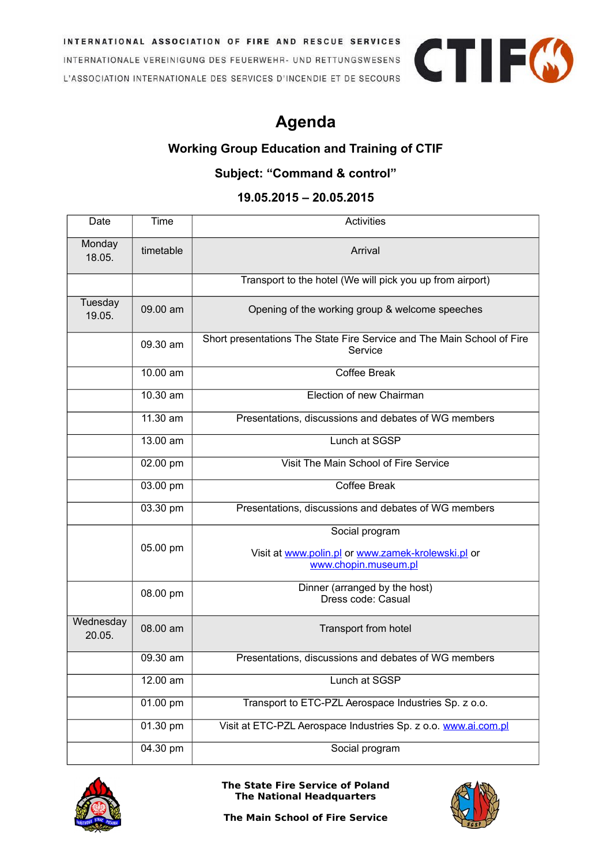INTERNATIONAL ASSOCIATION OF FIRE AND RESCUE SERVICES INTERNATIONALE VEREINIGUNG DES FEUERWEHR- UND RETTUNGSWESENS L'ASSOCIATION INTERNATIONALE DES SERVICES D'INCENDIE ET DE SECOURS

## **Agenda**

## **Working Group Education and Training of CTIF**

## **Subject: "Command & control"**

## **19.05.2015 – 20.05.2015**

| Date                | Time      | <b>Activities</b>                                                                 |
|---------------------|-----------|-----------------------------------------------------------------------------------|
| Monday<br>18.05.    | timetable | Arrival                                                                           |
|                     |           | Transport to the hotel (We will pick you up from airport)                         |
| Tuesday<br>19.05.   | 09.00 am  | Opening of the working group & welcome speeches                                   |
|                     | 09.30 am  | Short presentations The State Fire Service and The Main School of Fire<br>Service |
|                     | 10.00 am  | <b>Coffee Break</b>                                                               |
|                     | 10.30 am  | Election of new Chairman                                                          |
|                     | 11.30 am  | Presentations, discussions and debates of WG members                              |
|                     | 13.00 am  | Lunch at SGSP                                                                     |
|                     | 02.00 pm  | Visit The Main School of Fire Service                                             |
|                     | 03.00 pm  | <b>Coffee Break</b>                                                               |
|                     | 03.30 pm  | Presentations, discussions and debates of WG members                              |
|                     |           | Social program                                                                    |
|                     | 05.00 pm  | Visit at www.polin.pl or www.zamek-krolewski.pl or<br>www.chopin.museum.pl        |
|                     | 08.00 pm  | Dinner (arranged by the host)<br>Dress code: Casual                               |
| Wednesday<br>20.05. | 08.00 am  | Transport from hotel                                                              |
|                     | 09.30 am  | Presentations, discussions and debates of WG members                              |
|                     | 12.00 am  | Lunch at SGSP                                                                     |
|                     | 01.00 pm  | Transport to ETC-PZL Aerospace Industries Sp. z o.o.                              |
|                     | 01.30 pm  | Visit at ETC-PZL Aerospace Industries Sp. z o.o. www.ai.com.pl                    |
|                     | 04.30 pm  | Social program                                                                    |



**The State Fire Service of Poland The National Headquarters**



**CTIFG** 

**The Main School of Fire Service**